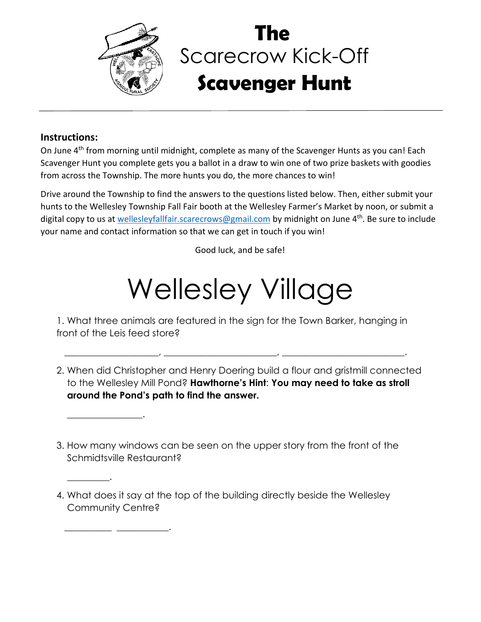

## Scarecrow Kick-Off **Scavenger Hunt The**

## **Instructions:**

 $\overline{\phantom{a}}$  , and the set of the set of the set of the set of the set of the set of the set of the set of the set of the set of the set of the set of the set of the set of the set of the set of the set of the set of the s

 $\frac{1}{2}$  ,  $\frac{1}{2}$  ,  $\frac{1}{2}$  ,  $\frac{1}{2}$  ,  $\frac{1}{2}$  ,  $\frac{1}{2}$  ,  $\frac{1}{2}$  ,  $\frac{1}{2}$  ,  $\frac{1}{2}$  ,  $\frac{1}{2}$ 

 $\overline{\phantom{a}}$  . The set of the set of the set of the set of the set of the set of the set of the set of the set of the set of the set of the set of the set of the set of the set of the set of the set of the set of the set o

On June 4<sup>th</sup> from morning until midnight, complete as many of the Scavenger Hunts as you can! Each Scavenger Hunt you complete gets you a ballot in a draw to win one of two prize baskets with goodies from across the Township. The more hunts you do, the more chances to win!

Drive around the Township to find the answers to the questions listed below. Then, either submit your hunts to the Wellesley Township Fall Fair booth at the Wellesley Farmer's Market by noon, or submit a digital copy to us at [wellesleyfallfair.scarecrows@gmail.com](mailto:wellesleyfallfair.scarecrows@gmail.com) by midnight on June 4<sup>th</sup>. Be sure to include your name and contact information so that we can get in touch if you win!

Good luck, and be safe!

## Wellesley Village

1. What three animals are featured in the sign for the Town Barker, hanging in front of the Leis feed store?

\_\_\_\_\_\_\_\_\_\_\_\_\_\_\_\_\_\_\_\_, \_\_\_\_\_\_\_\_\_\_\_\_\_\_\_\_\_\_\_\_\_\_\_\_, \_\_\_\_\_\_\_\_\_\_\_\_\_\_\_\_\_\_\_\_\_\_\_\_\_\_.

- 2. When did Christopher and Henry Doering build a flour and gristmill connected to the Wellesley Mill Pond? **Hawthorne's Hint**: **You may need to take as stroll around the Pond's path to find the answer.**
- 3. How many windows can be seen on the upper story from the front of the Schmidtsville Restaurant?
- 4. What does it say at the top of the building directly beside the Wellesley Community Centre?